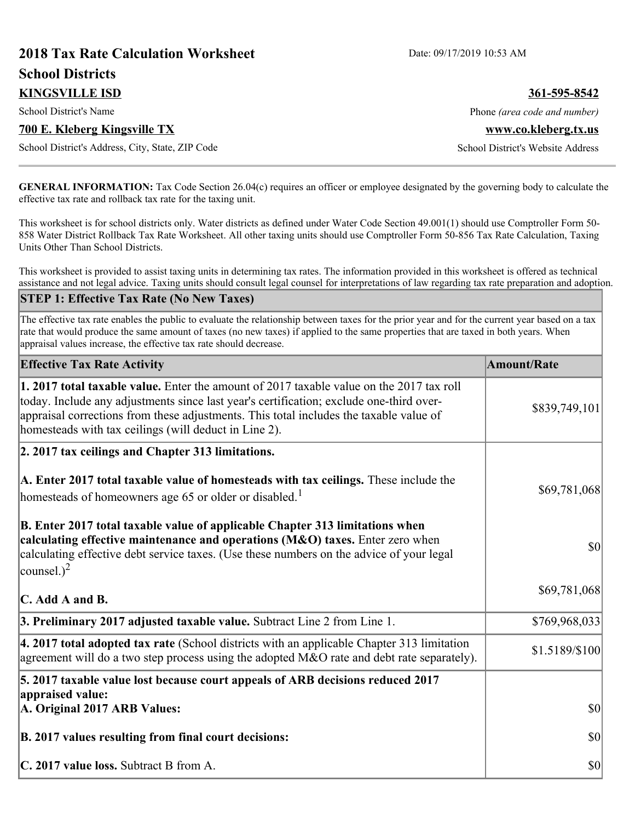# **2018 Tax Rate Calculation Worksheet** Date: 09/17/2019 10:53 AM **School Districts KINGSVILLE ISD 361-595-8542** School District's Name **Phone** *(area code and number)* Phone *(area code and number)* **700 E. Kleberg Kingsville TX www.co.kleberg.tx.us** School District's Address, City, State, ZIP Code School District's Website Address

**GENERAL INFORMATION:** Tax Code Section 26.04(c) requires an officer or employee designated by the governing body to calculate the effective tax rate and rollback tax rate for the taxing unit.

This worksheet is for school districts only. Water districts as defined under Water Code Section 49.001(1) should use Comptroller Form 50- 858 Water District Rollback Tax Rate Worksheet. All other taxing units should use Comptroller Form 50-856 Tax Rate Calculation, Taxing Units Other Than School Districts.

This worksheet is provided to assist taxing units in determining tax rates. The information provided in this worksheet is offered as technical assistance and not legal advice. Taxing units should consult legal counsel for interpretations of law regarding tax rate preparation and adoption.

### **STEP 1: Effective Tax Rate (No New Taxes)**

The effective tax rate enables the public to evaluate the relationship between taxes for the prior year and for the current year based on a tax rate that would produce the same amount of taxes (no new taxes) if applied to the same properties that are taxed in both years. When appraisal values increase, the effective tax rate should decrease.

| <b>Effective Tax Rate Activity</b>                                                                                                                                                                                                                                                                                                            | <b>Amount/Rate</b> |
|-----------------------------------------------------------------------------------------------------------------------------------------------------------------------------------------------------------------------------------------------------------------------------------------------------------------------------------------------|--------------------|
| <b>1. 2017 total taxable value.</b> Enter the amount of 2017 taxable value on the 2017 tax roll<br>today. Include any adjustments since last year's certification; exclude one-third over-<br>appraisal corrections from these adjustments. This total includes the taxable value of<br>homesteads with tax ceilings (will deduct in Line 2). | \$839,749,101      |
| 2. 2017 tax ceilings and Chapter 313 limitations.                                                                                                                                                                                                                                                                                             |                    |
| A. Enter 2017 total taxable value of homesteads with tax ceilings. These include the<br>homesteads of homeowners age 65 or older or disabled. <sup>1</sup>                                                                                                                                                                                    | \$69,781,068       |
| B. Enter 2017 total taxable value of applicable Chapter 313 limitations when<br>calculating effective maintenance and operations (M&O) taxes. Enter zero when<br>calculating effective debt service taxes. (Use these numbers on the advice of your legal<br>counsel.) <sup>2</sup>                                                           | \$0                |
| C. Add A and B.                                                                                                                                                                                                                                                                                                                               | \$69,781,068       |
| 3. Preliminary 2017 adjusted taxable value. Subtract Line 2 from Line 1.                                                                                                                                                                                                                                                                      | \$769,968,033      |
| $\vert$ 4. 2017 total adopted tax rate (School districts with an applicable Chapter 313 limitation<br>agreement will do a two step process using the adopted $M&O$ rate and debt rate separately).                                                                                                                                            | \$1.5189/\$100     |
| 5. 2017 taxable value lost because court appeals of ARB decisions reduced 2017                                                                                                                                                                                                                                                                |                    |
| appraised value:<br>A. Original 2017 ARB Values:                                                                                                                                                                                                                                                                                              | $ 10\rangle$       |
| B. 2017 values resulting from final court decisions:                                                                                                                                                                                                                                                                                          | \$0                |
| C. 2017 value loss. Subtract B from A.                                                                                                                                                                                                                                                                                                        | \$0                |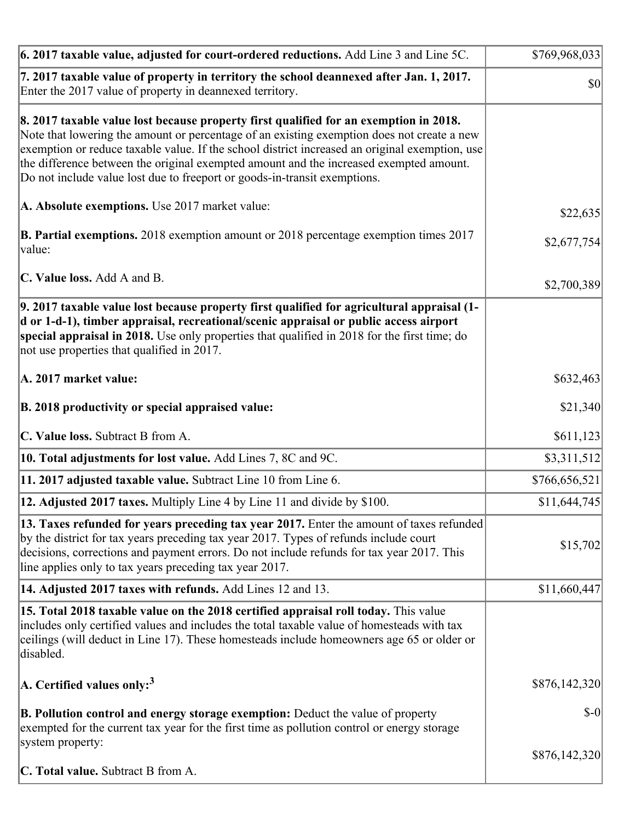| $\vert$ 6. 2017 taxable value, adjusted for court-ordered reductions. Add Line 3 and Line 5C.                                                                                                                                                                                                                                                                                                                                                                | \$769,968,033  |
|--------------------------------------------------------------------------------------------------------------------------------------------------------------------------------------------------------------------------------------------------------------------------------------------------------------------------------------------------------------------------------------------------------------------------------------------------------------|----------------|
| 7. 2017 taxable value of property in territory the school deannexed after Jan. 1, 2017.<br>Enter the 2017 value of property in deannexed territory.                                                                                                                                                                                                                                                                                                          | 30             |
| 8. 2017 taxable value lost because property first qualified for an exemption in 2018.<br>Note that lowering the amount or percentage of an existing exemption does not create a new<br>exemption or reduce taxable value. If the school district increased an original exemption, use<br>the difference between the original exempted amount and the increased exempted amount.<br>Do not include value lost due to freeport or goods-in-transit exemptions. |                |
| A. Absolute exemptions. Use 2017 market value:                                                                                                                                                                                                                                                                                                                                                                                                               | \$22,635       |
| <b>B. Partial exemptions.</b> 2018 exemption amount or 2018 percentage exemption times 2017<br>$\vert$ value:                                                                                                                                                                                                                                                                                                                                                | \$2,677,754    |
| C. Value loss. Add A and B.                                                                                                                                                                                                                                                                                                                                                                                                                                  | \$2,700,389    |
| 9. 2017 taxable value lost because property first qualified for agricultural appraisal (1-<br>d or 1-d-1), timber appraisal, recreational/scenic appraisal or public access airport<br>special appraisal in 2018. Use only properties that qualified in 2018 for the first time; do<br>not use properties that qualified in 2017.                                                                                                                            |                |
| A. 2017 market value:                                                                                                                                                                                                                                                                                                                                                                                                                                        | \$632,463      |
| B. 2018 productivity or special appraised value:                                                                                                                                                                                                                                                                                                                                                                                                             | \$21,340       |
| <b>C. Value loss.</b> Subtract B from A.                                                                                                                                                                                                                                                                                                                                                                                                                     | \$611,123      |
| <b>10. Total adjustments for lost value.</b> Add Lines 7, 8C and 9C.                                                                                                                                                                                                                                                                                                                                                                                         | \$3,311,512    |
| 11. 2017 adjusted taxable value. Subtract Line 10 from Line 6.                                                                                                                                                                                                                                                                                                                                                                                               | \$766,656,521] |
| 12. Adjusted 2017 taxes. Multiply Line 4 by Line 11 and divide by \$100.                                                                                                                                                                                                                                                                                                                                                                                     | \$11,644,745   |
| [13. Taxes refunded for years preceding tax year 2017. Enter the amount of taxes refunded]<br>by the district for tax years preceding tax year 2017. Types of refunds include court<br>decisions, corrections and payment errors. Do not include refunds for tax year 2017. This<br>line applies only to tax years preceding tax year 2017.                                                                                                                  | \$15,702       |
| 14. Adjusted 2017 taxes with refunds. Add Lines 12 and 13.                                                                                                                                                                                                                                                                                                                                                                                                   | \$11,660,447   |
| 15. Total 2018 taxable value on the 2018 certified appraisal roll today. This value<br>includes only certified values and includes the total taxable value of homesteads with tax<br>ceilings (will deduct in Line 17). These homesteads include homeowners age 65 or older or<br>disabled.                                                                                                                                                                  |                |
| A. Certified values only: <sup>3</sup>                                                                                                                                                                                                                                                                                                                                                                                                                       | \$876,142,320  |
| <b>B. Pollution control and energy storage exemption:</b> Deduct the value of property<br>exempted for the current tax year for the first time as pollution control or energy storage<br>system property:                                                                                                                                                                                                                                                    | $$-0$          |
| <b>C. Total value.</b> Subtract B from A.                                                                                                                                                                                                                                                                                                                                                                                                                    | \$876,142,320  |
|                                                                                                                                                                                                                                                                                                                                                                                                                                                              |                |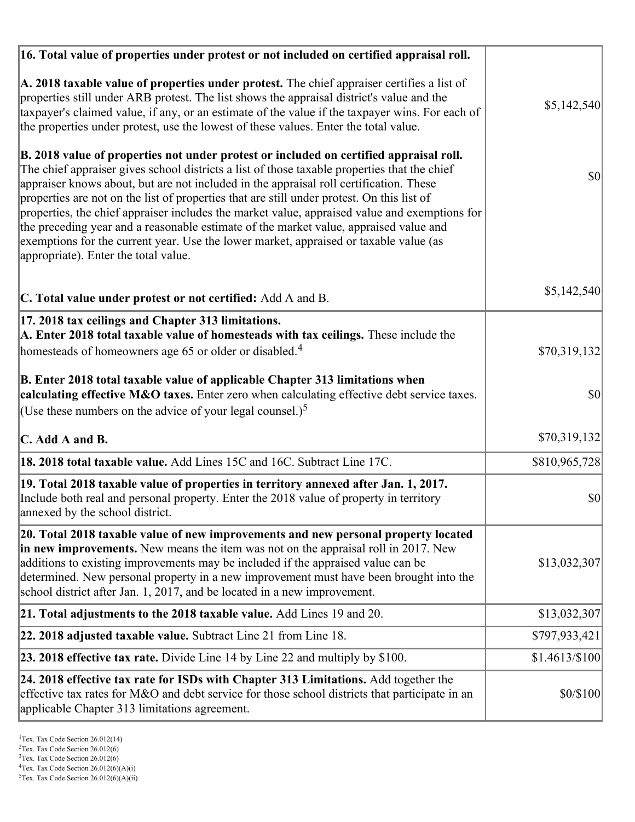| 16. Total value of properties under protest or not included on certified appraisal roll.                                                                                                                                                                                                                                                                                                                                                                                                                                                                                                                                                                                                                  |                |
|-----------------------------------------------------------------------------------------------------------------------------------------------------------------------------------------------------------------------------------------------------------------------------------------------------------------------------------------------------------------------------------------------------------------------------------------------------------------------------------------------------------------------------------------------------------------------------------------------------------------------------------------------------------------------------------------------------------|----------------|
| A. 2018 taxable value of properties under protest. The chief appraiser certifies a list of<br>properties still under ARB protest. The list shows the appraisal district's value and the<br>taxpayer's claimed value, if any, or an estimate of the value if the taxpayer wins. For each of<br>the properties under protest, use the lowest of these values. Enter the total value.                                                                                                                                                                                                                                                                                                                        | \$5,142,540    |
| B. 2018 value of properties not under protest or included on certified appraisal roll.<br>The chief appraiser gives school districts a list of those taxable properties that the chief<br>appraiser knows about, but are not included in the appraisal roll certification. These<br>properties are not on the list of properties that are still under protest. On this list of<br>properties, the chief appraiser includes the market value, appraised value and exemptions for<br>the preceding year and a reasonable estimate of the market value, appraised value and<br>exemptions for the current year. Use the lower market, appraised or taxable value (as<br>appropriate). Enter the total value. | 30             |
| C. Total value under protest or not certified: Add A and B.                                                                                                                                                                                                                                                                                                                                                                                                                                                                                                                                                                                                                                               | \$5,142,540    |
| 17. 2018 tax ceilings and Chapter 313 limitations.<br>A. Enter 2018 total taxable value of homesteads with tax ceilings. These include the                                                                                                                                                                                                                                                                                                                                                                                                                                                                                                                                                                |                |
| homesteads of homeowners age 65 or older or disabled. <sup>4</sup>                                                                                                                                                                                                                                                                                                                                                                                                                                                                                                                                                                                                                                        | \$70,319,132   |
| B. Enter 2018 total taxable value of applicable Chapter 313 limitations when<br>calculating effective M&O taxes. Enter zero when calculating effective debt service taxes.<br>(Use these numbers on the advice of your legal counsel.) <sup>5</sup>                                                                                                                                                                                                                                                                                                                                                                                                                                                       | \$0            |
|                                                                                                                                                                                                                                                                                                                                                                                                                                                                                                                                                                                                                                                                                                           |                |
| C. Add A and B.                                                                                                                                                                                                                                                                                                                                                                                                                                                                                                                                                                                                                                                                                           | \$70,319,132   |
| 18. 2018 total taxable value. Add Lines 15C and 16C. Subtract Line 17C.                                                                                                                                                                                                                                                                                                                                                                                                                                                                                                                                                                                                                                   | \$810,965,728  |
| 19. Total 2018 taxable value of properties in territory annexed after Jan. 1, 2017.<br>Include both real and personal property. Enter the 2018 value of property in territory<br>annexed by the school district.                                                                                                                                                                                                                                                                                                                                                                                                                                                                                          | \$0            |
| 20. Total 2018 taxable value of new improvements and new personal property located<br>in new improvements. New means the item was not on the appraisal roll in 2017. New<br>additions to existing improvements may be included if the appraised value can be<br>determined. New personal property in a new improvement must have been brought into the<br>school district after Jan. 1, 2017, and be located in a new improvement.                                                                                                                                                                                                                                                                        | \$13,032,307   |
| 21. Total adjustments to the 2018 taxable value. Add Lines 19 and 20.                                                                                                                                                                                                                                                                                                                                                                                                                                                                                                                                                                                                                                     | \$13,032,307   |
| <b>22. 2018 adjusted taxable value.</b> Subtract Line 21 from Line 18.                                                                                                                                                                                                                                                                                                                                                                                                                                                                                                                                                                                                                                    | \$797,933,421  |
| 23. 2018 effective tax rate. Divide Line 14 by Line 22 and multiply by \$100.                                                                                                                                                                                                                                                                                                                                                                                                                                                                                                                                                                                                                             | \$1.4613/\$100 |
| 24. 2018 effective tax rate for ISDs with Chapter 313 Limitations. Add together the<br>effective tax rates for M&O and debt service for those school districts that participate in an<br>applicable Chapter 313 limitations agreement.                                                                                                                                                                                                                                                                                                                                                                                                                                                                    | \$0/\$100      |

 $2$ Tex. Tax Code Section 26.012(6)

<sup>3</sup>Tex. Tax Code Section 26.012(6)

 ${}^{4}$ Tex. Tax Code Section 26.012(6)(A)(i)

 $5$ Tex. Tax Code Section 26.012(6)(A)(ii)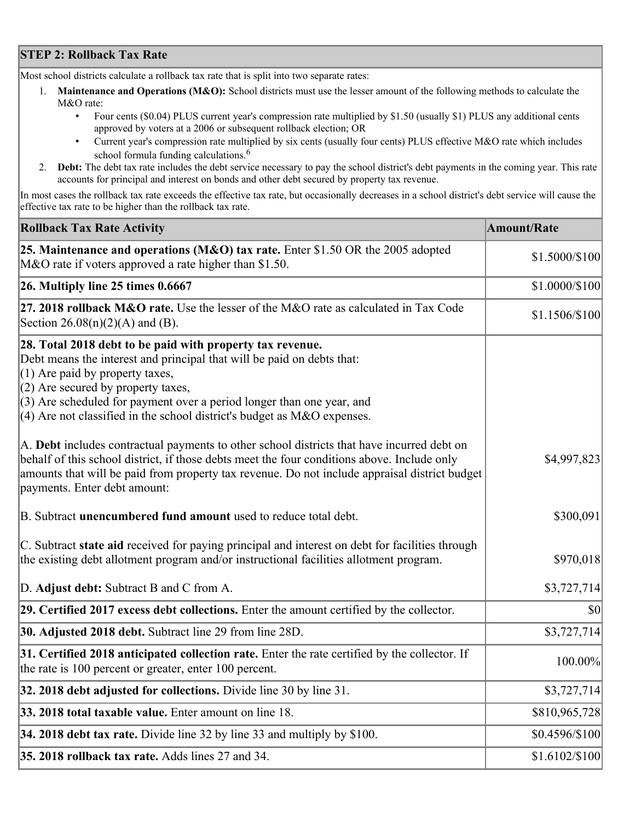## **STEP 2: Rollback Tax Rate**

Most school districts calculate a rollback tax rate that is split into two separate rates:

- 1. **Maintenance and Operations (M&O):** School districts must use the lesser amount of the following methods to calculate the M&O rate:
	- Four cents (\$0.04) PLUS current year's compression rate multiplied by \$1.50 (usually \$1) PLUS any additional cents approved by voters at a 2006 or subsequent rollback election; OR
	- Current year's compression rate multiplied by six cents (usually four cents) PLUS effective M&O rate which includes school formula funding calculations.<sup>6</sup>
- 2. **Debt:** The debt tax rate includes the debt service necessary to pay the school district's debt payments in the coming year. This rate accounts for principal and interest on bonds and other debt secured by property tax revenue.

In most cases the rollback tax rate exceeds the effective tax rate, but occasionally decreases in a school district's debt service will cause the effective tax rate to be higher than the rollback tax rate.

| <b>Rollback Tax Rate Activity</b>                                                                                                                                                                                                                                                                                                                                        | <b>Amount/Rate</b> |
|--------------------------------------------------------------------------------------------------------------------------------------------------------------------------------------------------------------------------------------------------------------------------------------------------------------------------------------------------------------------------|--------------------|
| 25. Maintenance and operations (M&O) tax rate. Enter \$1.50 OR the 2005 adopted<br>M&O rate if voters approved a rate higher than \$1.50.                                                                                                                                                                                                                                | \$1.5000/\$100     |
| $26.$ Multiply line 25 times $0.6667$                                                                                                                                                                                                                                                                                                                                    | \$1.0000/\$100     |
| 27. 2018 rollback $M&O$ rate. Use the lesser of the M $&O$ rate as calculated in Tax Code<br>Section $26.08(n)(2)(A)$ and (B).                                                                                                                                                                                                                                           | $$1.1506/\$100$    |
| 28. Total 2018 debt to be paid with property tax revenue.<br>Debt means the interest and principal that will be paid on debts that:<br>$(1)$ Are paid by property taxes,<br>$(2)$ Are secured by property taxes,<br>$(3)$ Are scheduled for payment over a period longer than one year, and<br>(4) Are not classified in the school district's budget as $M&O$ expenses. |                    |
| A. Debt includes contractual payments to other school districts that have incurred debt on<br>behalf of this school district, if those debts meet the four conditions above. Include only<br>amounts that will be paid from property tax revenue. Do not include appraisal district budget<br>payments. Enter debt amount:                                               | \$4,997,823        |
| B. Subtract unencumbered fund amount used to reduce total debt.                                                                                                                                                                                                                                                                                                          | \$300,091          |
| C. Subtract state aid received for paying principal and interest on debt for facilities through<br>the existing debt allotment program and/or instructional facilities allotment program.                                                                                                                                                                                | \$970,018          |
| D. Adjust debt: Subtract B and C from A.                                                                                                                                                                                                                                                                                                                                 | \$3,727,714]       |
| 29. Certified 2017 excess debt collections. Enter the amount certified by the collector.                                                                                                                                                                                                                                                                                 | $ 10\rangle$       |
| 30. Adjusted 2018 debt. Subtract line 29 from line 28D.                                                                                                                                                                                                                                                                                                                  | \$3,727,714        |
| 31. Certified 2018 anticipated collection rate. Enter the rate certified by the collector. If<br>the rate is 100 percent or greater, enter 100 percent.                                                                                                                                                                                                                  | 100.00%            |
| 32. 2018 debt adjusted for collections. Divide line 30 by line 31.                                                                                                                                                                                                                                                                                                       | \$3,727,714        |
| 33. 2018 total taxable value. Enter amount on line 18.                                                                                                                                                                                                                                                                                                                   | \$810,965,728      |
| 34. 2018 debt tax rate. Divide line 32 by line 33 and multiply by \$100.                                                                                                                                                                                                                                                                                                 | \$0.4596/\$100     |
| 35. 2018 rollback tax rate. Adds lines 27 and 34.                                                                                                                                                                                                                                                                                                                        | $$1.6102/\$100$    |